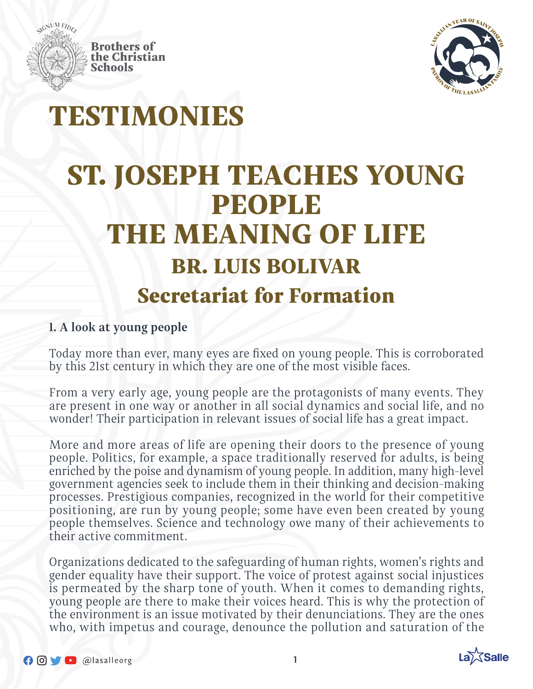



# TESTIMONIES

# ST. JOSEPH TEACHES YOUNG PEOPLE THE MEANING OF LIFE BR. LUIS BOLIVAR Secretariat for Formation

### **1. A look at young people**

Today more than ever, many eyes are fixed on young people. This is corroborated by this 21st century in which they are one of the most visible faces.

From a very early age, young people are the protagonists of many events. They are present in one way or another in all social dynamics and social life, and no wonder! Their participation in relevant issues of social life has a great impact.

More and more areas of life are opening their doors to the presence of young people. Politics, for example, a space traditionally reserved for adults, is being enriched by the poise and dynamism of young people. In addition, many high-level government agencies seek to include them in their thinking and decision-making processes. Prestigious companies, recognized in the world for their competitive positioning, are run by young people; some have even been created by young people themselves. Science and technology owe many of their achievements to their active commitment.

Organizations dedicated to the safeguarding of human rights, women's rights and gender equality have their support. The voice of protest against social injustices is permeated by the sharp tone of youth. When it comes to demanding rights, young people are there to make their voices heard. This is why the protection of the environment is an issue motivated by their denunciations. They are the ones who, with impetus and courage, denounce the pollution and saturation of the

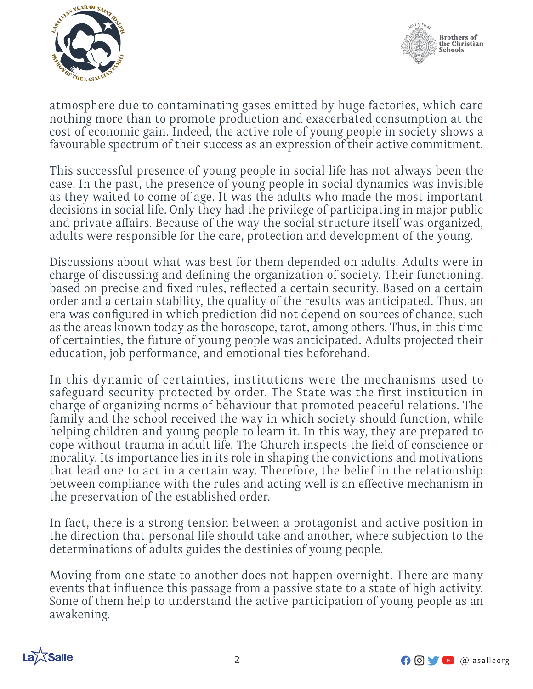



atmosphere due to contaminating gases emitted by huge factories, which care nothing more than to promote production and exacerbated consumption at the cost of economic gain. Indeed, the active role of young people in society shows a favourable spectrum of their success as an expression of their active commitment.

This successful presence of young people in social life has not always been the case. In the past, the presence of young people in social dynamics was invisible as they waited to come of age. It was the adults who made the most important decisions in social life. Only they had the privilege of participating in major public and private affairs. Because of the way the social structure itself was organized, adults were responsible for the care, protection and development of the young.

Discussions about what was best for them depended on adults. Adults were in charge of discussing and defining the organization of society. Their functioning, based on precise and fixed rules, reflected a certain security. Based on a certain order and a certain stability, the quality of the results was anticipated. Thus, an era was configured in which prediction did not depend on sources of chance, such as the areas known today as the horoscope, tarot, among others. Thus, in this time of certainties, the future of young people was anticipated. Adults projected their education, job performance, and emotional ties beforehand.

In this dynamic of certainties, institutions were the mechanisms used to safeguard security protected by order. The State was the first institution in charge of organizing norms of behaviour that promoted peaceful relations. The family and the school received the way in which society should function, while helping children and young people to learn it. In this way, they are prepared to cope without trauma in adult life. The Church inspects the field of conscience or morality. Its importance lies in its role in shaping the convictions and motivations that lead one to act in a certain way. Therefore, the belief in the relationship between compliance with the rules and acting well is an effective mechanism in the preservation of the established order.

In fact, there is a strong tension between a protagonist and active position in the direction that personal life should take and another, where subjection to the determinations of adults guides the destinies of young people.

Moving from one state to another does not happen overnight. There are many events that influence this passage from a passive state to a state of high activity. Some of them help to understand the active participation of young people as an awakening.



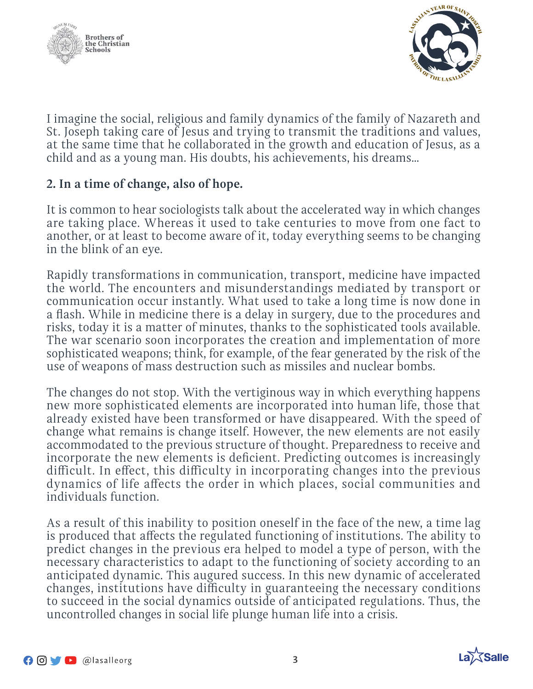



I imagine the social, religious and family dynamics of the family of Nazareth and St. Joseph taking care of Jesus and trying to transmit the traditions and values, at the same time that he collaborated in the growth and education of Jesus, as a child and as a young man. His doubts, his achievements, his dreams…

### **2. In a time of change, also of hope.**

It is common to hear sociologists talk about the accelerated way in which changes are taking place. Whereas it used to take centuries to move from one fact to another, or at least to become aware of it, today everything seems to be changing in the blink of an eye.

Rapidly transformations in communication, transport, medicine have impacted the world. The encounters and misunderstandings mediated by transport or communication occur instantly. What used to take a long time is now done in a flash. While in medicine there is a delay in surgery, due to the procedures and risks, today it is a matter of minutes, thanks to the sophisticated tools available. The war scenario soon incorporates the creation and implementation of more sophisticated weapons; think, for example, of the fear generated by the risk of the use of weapons of mass destruction such as missiles and nuclear bombs.

The changes do not stop. With the vertiginous way in which everything happens new more sophisticated elements are incorporated into human life, those that already existed have been transformed or have disappeared. With the speed of change what remains is change itself. However, the new elements are not easily accommodated to the previous structure of thought. Preparedness to receive and incorporate the new elements is deficient. Predicting outcomes is increasingly difficult. In effect, this difficulty in incorporating changes into the previous dynamics of life affects the order in which places, social communities and individuals function.

As a result of this inability to position oneself in the face of the new, a time lag is produced that affects the regulated functioning of institutions. The ability to predict changes in the previous era helped to model a type of person, with the necessary characteristics to adapt to the functioning of society according to an anticipated dynamic. This augured success. In this new dynamic of accelerated changes, institutions have difficulty in guaranteeing the necessary conditions to succeed in the social dynamics outside of anticipated regulations. Thus, the uncontrolled changes in social life plunge human life into a crisis.

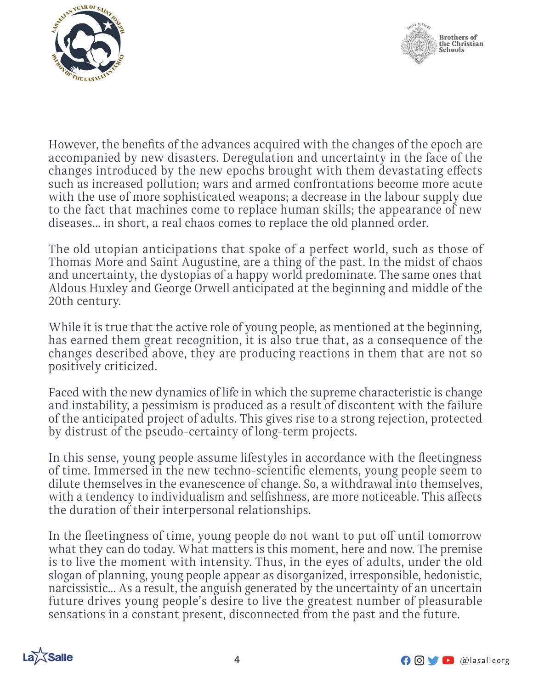



However, the benefits of the advances acquired with the changes of the epoch are accompanied by new disasters. Deregulation and uncertainty in the face of the changes introduced by the new epochs brought with them devastating effects such as increased pollution; wars and armed confrontations become more acute with the use of more sophisticated weapons; a decrease in the labour supply due to the fact that machines come to replace human skills; the appearance of new diseases... in short, a real chaos comes to replace the old planned order.

The old utopian anticipations that spoke of a perfect world, such as those of Thomas More and Saint Augustine, are a thing of the past. In the midst of chaos and uncertainty, the dystopias of a happy world predominate. The same ones that Aldous Huxley and George Orwell anticipated at the beginning and middle of the 20th century.

While it is true that the active role of young people, as mentioned at the beginning, has earned them great recognition, it is also true that, as a consequence of the changes described above, they are producing reactions in them that are not so positively criticized.

Faced with the new dynamics of life in which the supreme characteristic is change and instability, a pessimism is produced as a result of discontent with the failure of the anticipated project of adults. This gives rise to a strong rejection, protected by distrust of the pseudo-certainty of long-term projects.

In this sense, young people assume lifestyles in accordance with the fleetingness of time. Immersed in the new techno-scientific elements, young people seem to dilute themselves in the evanescence of change. So, a withdrawal into themselves, with a tendency to individualism and selfishness, are more noticeable. This affects the duration of their interpersonal relationships.

In the fleetingness of time, young people do not want to put off until tomorrow what they can do today. What matters is this moment, here and now. The premise is to live the moment with intensity. Thus, in the eyes of adults, under the old slogan of planning, young people appear as disorganized, irresponsible, hedonistic, narcissistic... As a result, the anguish generated by the uncertainty of an uncertain future drives young people's desire to live the greatest number of pleasurable sensations in a constant present, disconnected from the past and the future.



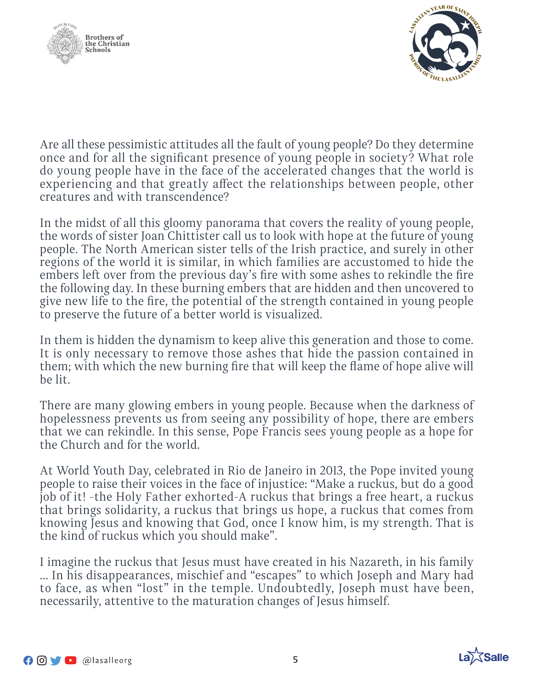



Are all these pessimistic attitudes all the fault of young people? Do they determine once and for all the significant presence of young people in society? What role do young people have in the face of the accelerated changes that the world is experiencing and that greatly affect the relationships between people, other creatures and with transcendence?

In the midst of all this gloomy panorama that covers the reality of young people, the words of sister Joan Chittister call us to look with hope at the future of young people. The North American sister tells of the Irish practice, and surely in other regions of the world it is similar, in which families are accustomed to hide the embers left over from the previous day's fire with some ashes to rekindle the fire the following day. In these burning embers that are hidden and then uncovered to give new life to the fire, the potential of the strength contained in young people to preserve the future of a better world is visualized.

In them is hidden the dynamism to keep alive this generation and those to come. It is only necessary to remove those ashes that hide the passion contained in them; with which the new burning fire that will keep the flame of hope alive will be lit.

There are many glowing embers in young people. Because when the darkness of hopelessness prevents us from seeing any possibility of hope, there are embers that we can rekindle. In this sense, Pope Francis sees young people as a hope for the Church and for the world.

At World Youth Day, celebrated in Rio de Janeiro in 2013, the Pope invited young people to raise their voices in the face of injustice: "Make a ruckus, but do a good job of it! -the Holy Father exhorted-A ruckus that brings a free heart, a ruckus that brings solidarity, a ruckus that brings us hope, a ruckus that comes from knowing Jesus and knowing that God, once I know him, is my strength. That is the kind of ruckus which you should make".

I imagine the ruckus that Jesus must have created in his Nazareth, in his family ... In his disappearances, mischief and "escapes" to which Joseph and Mary had to face, as when "lost" in the temple. Undoubtedly, Joseph must have been, necessarily, attentive to the maturation changes of Jesus himself.

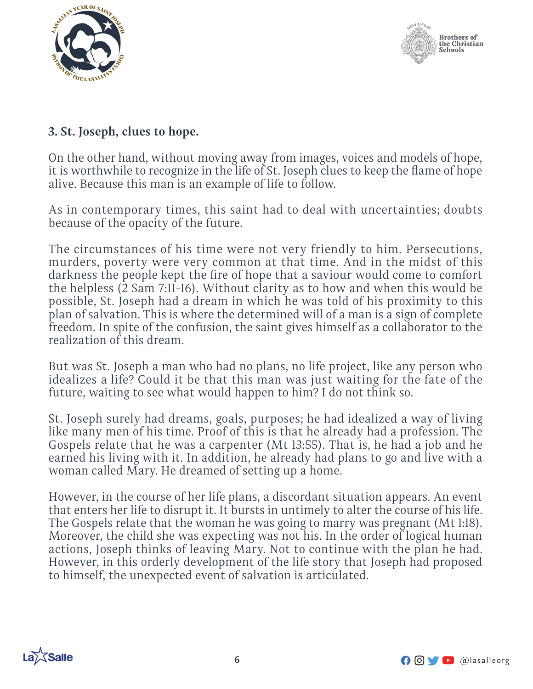



## **3. St. Joseph, clues to hope.**

On the other hand, without moving away from images, voices and models of hope, it is worthwhile to recognize in the life of St. Joseph clues to keep the flame of hope alive. Because this man is an example of life to follow.

As in contemporary times, this saint had to deal with uncertainties; doubts because of the opacity of the future.

The circumstances of his time were not very friendly to him. Persecutions, murders, poverty were very common at that time. And in the midst of this darkness the people kept the fire of hope that a saviour would come to comfort the helpless (2 Sam 7:11-16). Without clarity as to how and when this would be possible, St. Joseph had a dream in which he was told of his proximity to this plan of salvation. This is where the determined will of a man is a sign of complete freedom. In spite of the confusion, the saint gives himself as a collaborator to the realization of this dream.

But was St. Joseph a man who had no plans, no life project, like any person who idealizes a life? Could it be that this man was just waiting for the fate of the future, waiting to see what would happen to him? I do not think so.

St. Joseph surely had dreams, goals, purposes; he had idealized a way of living like many men of his time. Proof of this is that he already had a profession. The Gospels relate that he was a carpenter (Mt 13:55). That is, he had a job and he earned his living with it. In addition, he already had plans to go and live with a woman called Mary. He dreamed of setting up a home.

However, in the course of her life plans, a discordant situation appears. An event that enters her life to disrupt it. It bursts in untimely to alter the course of his life. The Gospels relate that the woman he was going to marry was pregnant (Mt 1:18). Moreover, the child she was expecting was not his. In the order of logical human actions, Joseph thinks of leaving Mary. Not to continue with the plan he had. However, in this orderly development of the life story that Joseph had proposed to himself, the unexpected event of salvation is articulated.



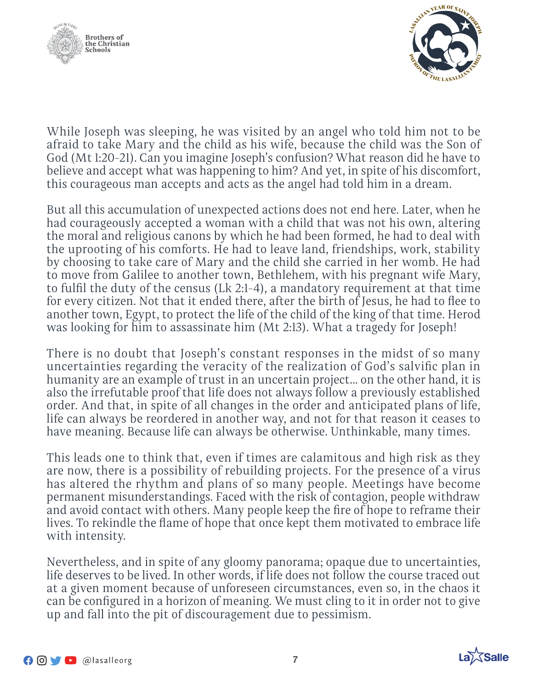



While Joseph was sleeping, he was visited by an angel who told him not to be afraid to take Mary and the child as his wife, because the child was the Son of God (Mt 1:20-21). Can you imagine Joseph's confusion? What reason did he have to believe and accept what was happening to him? And yet, in spite of his discomfort, this courageous man accepts and acts as the angel had told him in a dream.

But all this accumulation of unexpected actions does not end here. Later, when he had courageously accepted a woman with a child that was not his own, altering the moral and religious canons by which he had been formed, he had to deal with the uprooting of his comforts. He had to leave land, friendships, work, stability by choosing to take care of Mary and the child she carried in her womb. He had to move from Galilee to another town, Bethlehem, with his pregnant wife Mary, to fulfil the duty of the census (Lk 2:1-4), a mandatory requirement at that time for every citizen. Not that it ended there, after the birth of Jesus, he had to flee to another town, Egypt, to protect the life of the child of the king of that time. Herod was looking for him to assassinate him (Mt 2:13). What a tragedy for Joseph!

There is no doubt that Joseph's constant responses in the midst of so many uncertainties regarding the veracity of the realization of God's salvific plan in humanity are an example of trust in an uncertain project... on the other hand, it is also the irrefutable proof that life does not always follow a previously established order. And that, in spite of all changes in the order and anticipated plans of life, life can always be reordered in another way, and not for that reason it ceases to have meaning. Because life can always be otherwise. Unthinkable, many times.

This leads one to think that, even if times are calamitous and high risk as they are now, there is a possibility of rebuilding projects. For the presence of a virus has altered the rhythm and plans of so many people. Meetings have become permanent misunderstandings. Faced with the risk of contagion, people withdraw and avoid contact with others. Many people keep the fire of hope to reframe their lives. To rekindle the flame of hope that once kept them motivated to embrace life with intensity.

Nevertheless, and in spite of any gloomy panorama; opaque due to uncertainties, life deserves to be lived. In other words, if life does not follow the course traced out at a given moment because of unforeseen circumstances, even so, in the chaos it can be configured in a horizon of meaning. We must cling to it in order not to give up and fall into the pit of discouragement due to pessimism.

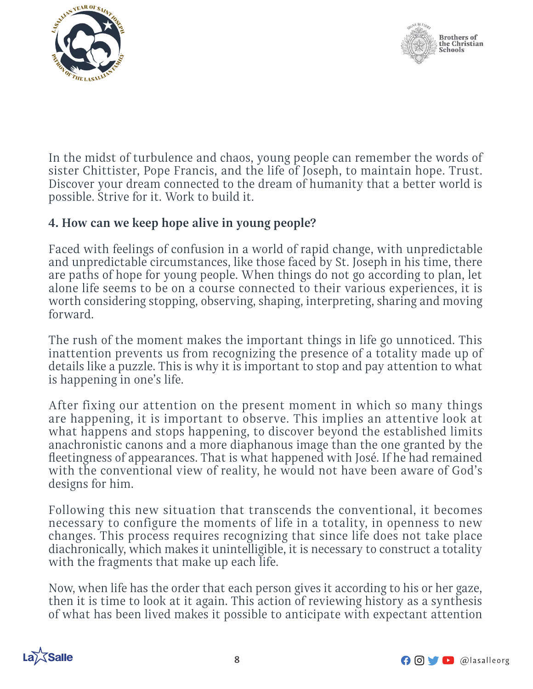



In the midst of turbulence and chaos, young people can remember the words of sister Chittister, Pope Francis, and the life of Joseph, to maintain hope. Trust. Discover your dream connected to the dream of humanity that a better world is possible. Strive for it. Work to build it.

### **4. How can we keep hope alive in young people?**

Faced with feelings of confusion in a world of rapid change, with unpredictable and unpredictable circumstances, like those faced by St. Joseph in his time, there are paths of hope for young people. When things do not go according to plan, let alone life seems to be on a course connected to their various experiences, it is worth considering stopping, observing, shaping, interpreting, sharing and moving forward.

The rush of the moment makes the important things in life go unnoticed. This inattention prevents us from recognizing the presence of a totality made up of details like a puzzle. This is why it is important to stop and pay attention to what is happening in one's life.

After fixing our attention on the present moment in which so many things are happening, it is important to observe. This implies an attentive look at what happens and stops happening, to discover beyond the established limits anachronistic canons and a more diaphanous image than the one granted by the fleetingness of appearances. That is what happened with José. If he had remained with the conventional view of reality, he would not have been aware of God's designs for him.

Following this new situation that transcends the conventional, it becomes necessary to configure the moments of life in a totality, in openness to new changes. This process requires recognizing that since life does not take place diachronically, which makes it unintelligible, it is necessary to construct a totality with the fragments that make up each life.

Now, when life has the order that each person gives it according to his or her gaze, then it is time to look at it again. This action of reviewing history as a synthesis of what has been lived makes it possible to anticipate with expectant attention